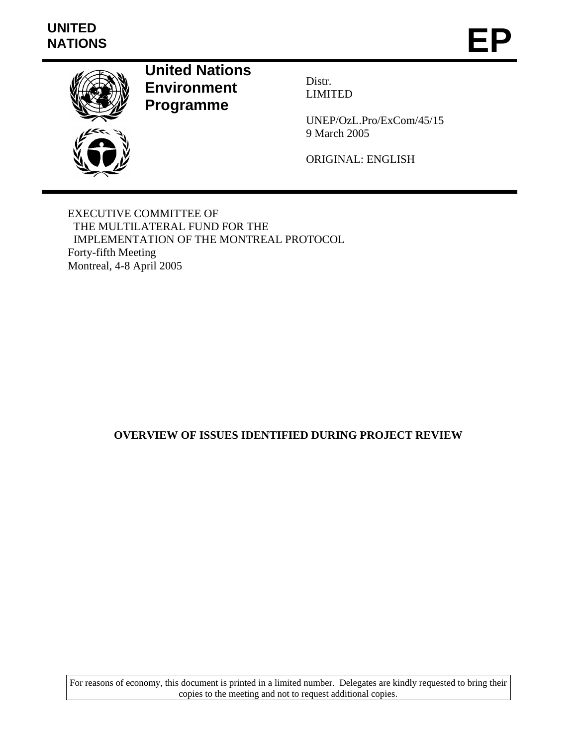# **UNITED**  UNITED<br>NATIONS **EP**



**United Nations Environment Programme** 

Distr. LIMITED

UNEP/OzL.Pro/ExCom/45/15 9 March 2005

ORIGINAL: ENGLISH

EXECUTIVE COMMITTEE OF THE MULTILATERAL FUND FOR THE IMPLEMENTATION OF THE MONTREAL PROTOCOL Forty-fifth Meeting Montreal, 4-8 April 2005

#### **OVERVIEW OF ISSUES IDENTIFIED DURING PROJECT REVIEW**

For reasons of economy, this document is printed in a limited number. Delegates are kindly requested to bring their copies to the meeting and not to request additional copies.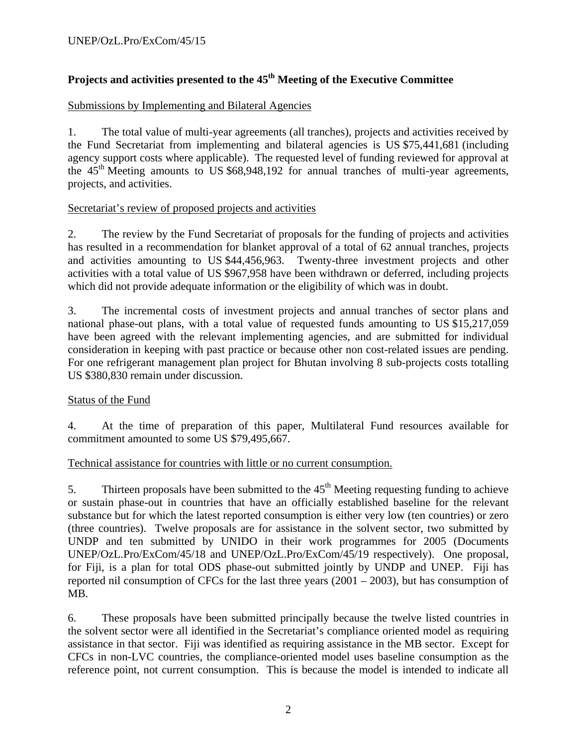### Projects and activities presented to the 45<sup>th</sup> Meeting of the Executive Committee

#### Submissions by Implementing and Bilateral Agencies

1. The total value of multi-year agreements (all tranches), projects and activities received by the Fund Secretariat from implementing and bilateral agencies is US \$75,441,681 (including agency support costs where applicable). The requested level of funding reviewed for approval at the  $45<sup>th</sup>$  Meeting amounts to US \$68,948,192 for annual tranches of multi-year agreements, projects, and activities.

#### Secretariat's review of proposed projects and activities

2. The review by the Fund Secretariat of proposals for the funding of projects and activities has resulted in a recommendation for blanket approval of a total of 62 annual tranches, projects and activities amounting to US \$44,456,963. Twenty-three investment projects and other activities with a total value of US \$967,958 have been withdrawn or deferred, including projects which did not provide adequate information or the eligibility of which was in doubt.

3. The incremental costs of investment projects and annual tranches of sector plans and national phase-out plans, with a total value of requested funds amounting to US \$15,217,059 have been agreed with the relevant implementing agencies, and are submitted for individual consideration in keeping with past practice or because other non cost-related issues are pending. For one refrigerant management plan project for Bhutan involving 8 sub-projects costs totalling US \$380,830 remain under discussion.

#### Status of the Fund

4. At the time of preparation of this paper, Multilateral Fund resources available for commitment amounted to some US \$79,495,667.

#### Technical assistance for countries with little or no current consumption.

5. Thirteen proposals have been submitted to the  $45<sup>th</sup>$  Meeting requesting funding to achieve or sustain phase-out in countries that have an officially established baseline for the relevant substance but for which the latest reported consumption is either very low (ten countries) or zero (three countries). Twelve proposals are for assistance in the solvent sector, two submitted by UNDP and ten submitted by UNIDO in their work programmes for 2005 (Documents UNEP/OzL.Pro/ExCom/45/18 and UNEP/OzL.Pro/ExCom/45/19 respectively). One proposal, for Fiji, is a plan for total ODS phase-out submitted jointly by UNDP and UNEP. Fiji has reported nil consumption of CFCs for the last three years (2001 – 2003), but has consumption of MB.

6. These proposals have been submitted principally because the twelve listed countries in the solvent sector were all identified in the Secretariat's compliance oriented model as requiring assistance in that sector. Fiji was identified as requiring assistance in the MB sector. Except for CFCs in non-LVC countries, the compliance-oriented model uses baseline consumption as the reference point, not current consumption. This is because the model is intended to indicate all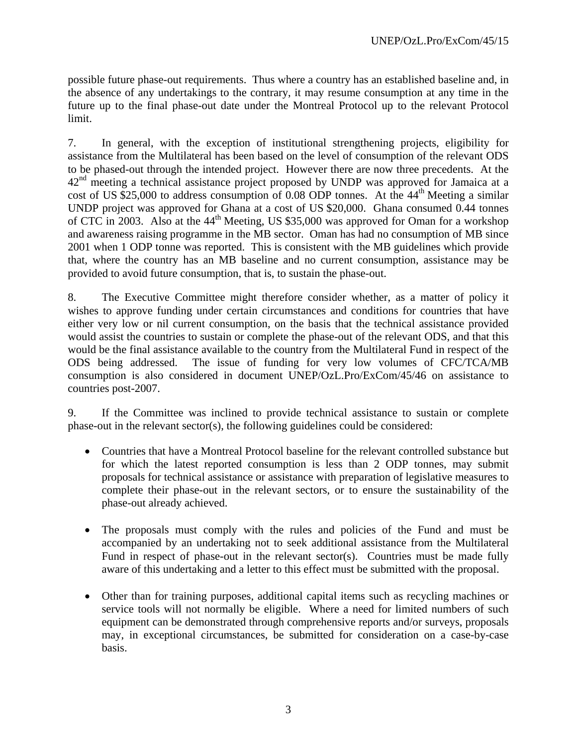possible future phase-out requirements. Thus where a country has an established baseline and, in the absence of any undertakings to the contrary, it may resume consumption at any time in the future up to the final phase-out date under the Montreal Protocol up to the relevant Protocol limit.

7. In general, with the exception of institutional strengthening projects, eligibility for assistance from the Multilateral has been based on the level of consumption of the relevant ODS to be phased-out through the intended project. However there are now three precedents. At the 42<sup>nd</sup> meeting a technical assistance project proposed by UNDP was approved for Jamaica at a cost of US \$25,000 to address consumption of 0.08 ODP tonnes. At the  $44<sup>th</sup>$  Meeting a similar UNDP project was approved for Ghana at a cost of US \$20,000. Ghana consumed 0.44 tonnes of CTC in 2003. Also at the  $44<sup>th</sup>$  Meeting, US \$35,000 was approved for Oman for a workshop and awareness raising programme in the MB sector. Oman has had no consumption of MB since 2001 when 1 ODP tonne was reported. This is consistent with the MB guidelines which provide that, where the country has an MB baseline and no current consumption, assistance may be provided to avoid future consumption, that is, to sustain the phase-out.

8. The Executive Committee might therefore consider whether, as a matter of policy it wishes to approve funding under certain circumstances and conditions for countries that have either very low or nil current consumption, on the basis that the technical assistance provided would assist the countries to sustain or complete the phase-out of the relevant ODS, and that this would be the final assistance available to the country from the Multilateral Fund in respect of the ODS being addressed. The issue of funding for very low volumes of CFC/TCA/MB consumption is also considered in document UNEP/OzL.Pro/ExCom/45/46 on assistance to countries post-2007.

9. If the Committee was inclined to provide technical assistance to sustain or complete phase-out in the relevant sector(s), the following guidelines could be considered:

- Countries that have a Montreal Protocol baseline for the relevant controlled substance but for which the latest reported consumption is less than 2 ODP tonnes, may submit proposals for technical assistance or assistance with preparation of legislative measures to complete their phase-out in the relevant sectors, or to ensure the sustainability of the phase-out already achieved.
- The proposals must comply with the rules and policies of the Fund and must be accompanied by an undertaking not to seek additional assistance from the Multilateral Fund in respect of phase-out in the relevant sector(s). Countries must be made fully aware of this undertaking and a letter to this effect must be submitted with the proposal.
- Other than for training purposes, additional capital items such as recycling machines or service tools will not normally be eligible. Where a need for limited numbers of such equipment can be demonstrated through comprehensive reports and/or surveys, proposals may, in exceptional circumstances, be submitted for consideration on a case-by-case basis.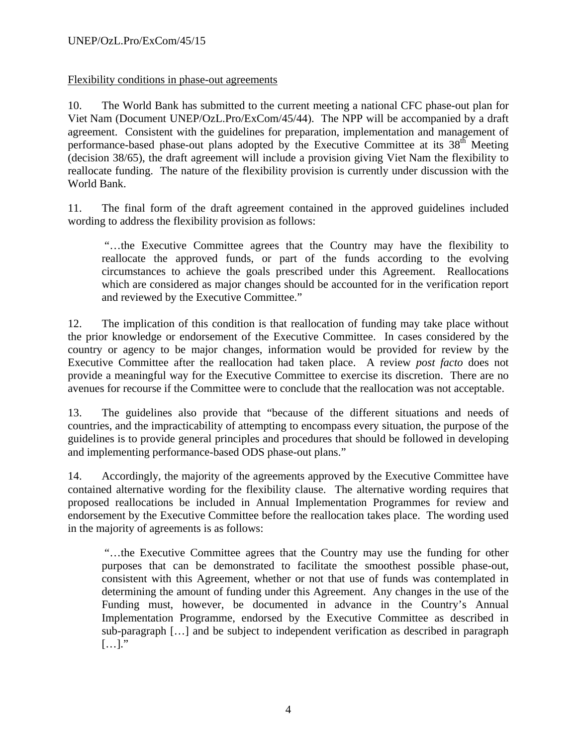#### Flexibility conditions in phase-out agreements

10. The World Bank has submitted to the current meeting a national CFC phase-out plan for Viet Nam (Document UNEP/OzL.Pro/ExCom/45/44). The NPP will be accompanied by a draft agreement. Consistent with the guidelines for preparation, implementation and management of performance-based phase-out plans adopted by the Executive Committee at its  $38<sup>th</sup>$  Meeting (decision 38/65), the draft agreement will include a provision giving Viet Nam the flexibility to reallocate funding. The nature of the flexibility provision is currently under discussion with the World Bank.

11. The final form of the draft agreement contained in the approved guidelines included wording to address the flexibility provision as follows:

 "…the Executive Committee agrees that the Country may have the flexibility to reallocate the approved funds, or part of the funds according to the evolving circumstances to achieve the goals prescribed under this Agreement. Reallocations which are considered as major changes should be accounted for in the verification report and reviewed by the Executive Committee."

12. The implication of this condition is that reallocation of funding may take place without the prior knowledge or endorsement of the Executive Committee. In cases considered by the country or agency to be major changes, information would be provided for review by the Executive Committee after the reallocation had taken place. A review *post facto* does not provide a meaningful way for the Executive Committee to exercise its discretion. There are no avenues for recourse if the Committee were to conclude that the reallocation was not acceptable.

13. The guidelines also provide that "because of the different situations and needs of countries, and the impracticability of attempting to encompass every situation, the purpose of the guidelines is to provide general principles and procedures that should be followed in developing and implementing performance-based ODS phase-out plans."

14. Accordingly, the majority of the agreements approved by the Executive Committee have contained alternative wording for the flexibility clause. The alternative wording requires that proposed reallocations be included in Annual Implementation Programmes for review and endorsement by the Executive Committee before the reallocation takes place. The wording used in the majority of agreements is as follows:

 "…the Executive Committee agrees that the Country may use the funding for other purposes that can be demonstrated to facilitate the smoothest possible phase-out, consistent with this Agreement, whether or not that use of funds was contemplated in determining the amount of funding under this Agreement. Any changes in the use of the Funding must, however, be documented in advance in the Country's Annual Implementation Programme, endorsed by the Executive Committee as described in sub-paragraph […] and be subject to independent verification as described in paragraph  $[...]$ ."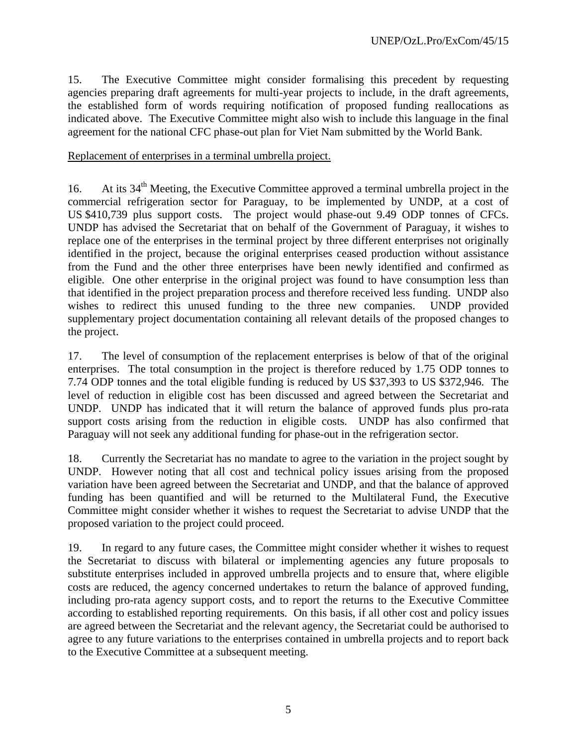15. The Executive Committee might consider formalising this precedent by requesting agencies preparing draft agreements for multi-year projects to include, in the draft agreements, the established form of words requiring notification of proposed funding reallocations as indicated above. The Executive Committee might also wish to include this language in the final agreement for the national CFC phase-out plan for Viet Nam submitted by the World Bank.

#### Replacement of enterprises in a terminal umbrella project.

16. At its  $34<sup>th</sup>$  Meeting, the Executive Committee approved a terminal umbrella project in the commercial refrigeration sector for Paraguay, to be implemented by UNDP, at a cost of US \$410,739 plus support costs. The project would phase-out 9.49 ODP tonnes of CFCs. UNDP has advised the Secretariat that on behalf of the Government of Paraguay, it wishes to replace one of the enterprises in the terminal project by three different enterprises not originally identified in the project, because the original enterprises ceased production without assistance from the Fund and the other three enterprises have been newly identified and confirmed as eligible. One other enterprise in the original project was found to have consumption less than that identified in the project preparation process and therefore received less funding. UNDP also wishes to redirect this unused funding to the three new companies. UNDP provided supplementary project documentation containing all relevant details of the proposed changes to the project.

17. The level of consumption of the replacement enterprises is below of that of the original enterprises. The total consumption in the project is therefore reduced by 1.75 ODP tonnes to 7.74 ODP tonnes and the total eligible funding is reduced by US \$37,393 to US \$372,946. The level of reduction in eligible cost has been discussed and agreed between the Secretariat and UNDP. UNDP has indicated that it will return the balance of approved funds plus pro-rata support costs arising from the reduction in eligible costs. UNDP has also confirmed that Paraguay will not seek any additional funding for phase-out in the refrigeration sector.

18. Currently the Secretariat has no mandate to agree to the variation in the project sought by UNDP. However noting that all cost and technical policy issues arising from the proposed variation have been agreed between the Secretariat and UNDP, and that the balance of approved funding has been quantified and will be returned to the Multilateral Fund, the Executive Committee might consider whether it wishes to request the Secretariat to advise UNDP that the proposed variation to the project could proceed.

19. In regard to any future cases, the Committee might consider whether it wishes to request the Secretariat to discuss with bilateral or implementing agencies any future proposals to substitute enterprises included in approved umbrella projects and to ensure that, where eligible costs are reduced, the agency concerned undertakes to return the balance of approved funding, including pro-rata agency support costs, and to report the returns to the Executive Committee according to established reporting requirements. On this basis, if all other cost and policy issues are agreed between the Secretariat and the relevant agency, the Secretariat could be authorised to agree to any future variations to the enterprises contained in umbrella projects and to report back to the Executive Committee at a subsequent meeting.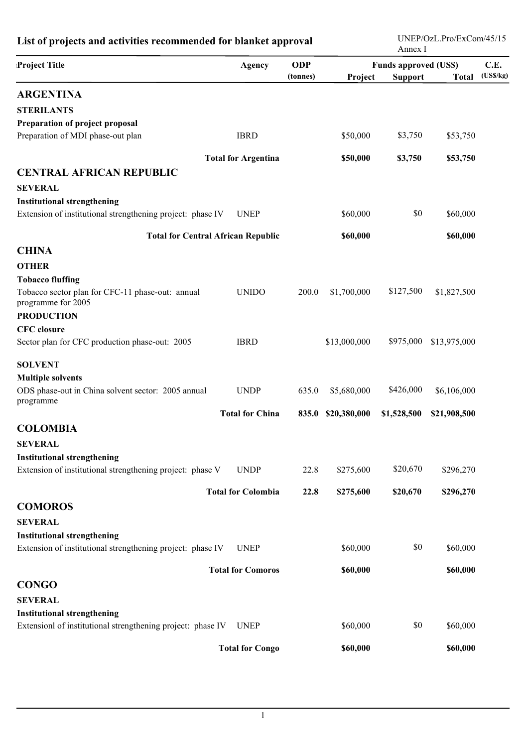| List of projects and activities recommended for blanket approval |                            |                        |              |                                                | UNEP/OzL.Pro/ExCom/45/15<br>Annex I |                  |  |  |
|------------------------------------------------------------------|----------------------------|------------------------|--------------|------------------------------------------------|-------------------------------------|------------------|--|--|
| Project Title                                                    | Agency                     | <b>ODP</b><br>(tonnes) | Project      | <b>Funds approved (US\$)</b><br><b>Support</b> | <b>Total</b>                        | C.E.<br>(USS/kg) |  |  |
| <b>ARGENTINA</b>                                                 |                            |                        |              |                                                |                                     |                  |  |  |
| <b>STERILANTS</b>                                                |                            |                        |              |                                                |                                     |                  |  |  |
| Preparation of project proposal                                  |                            |                        |              |                                                |                                     |                  |  |  |
| Preparation of MDI phase-out plan                                | <b>IBRD</b>                |                        | \$50,000     | \$3,750                                        | \$53,750                            |                  |  |  |
|                                                                  | <b>Total for Argentina</b> |                        | \$50,000     | \$3,750                                        | \$53,750                            |                  |  |  |
| <b>CENTRAL AFRICAN REPUBLIC</b>                                  |                            |                        |              |                                                |                                     |                  |  |  |
| <b>SEVERAL</b>                                                   |                            |                        |              |                                                |                                     |                  |  |  |
| <b>Institutional strengthening</b>                               |                            |                        |              |                                                |                                     |                  |  |  |
| Extension of institutional strengthening project: phase IV       | <b>UNEP</b>                |                        | \$60,000     | \$0                                            | \$60,000                            |                  |  |  |
| <b>Total for Central African Republic</b>                        |                            |                        | \$60,000     |                                                | \$60,000                            |                  |  |  |
| <b>CHINA</b>                                                     |                            |                        |              |                                                |                                     |                  |  |  |
| <b>OTHER</b>                                                     |                            |                        |              |                                                |                                     |                  |  |  |
| <b>Tobacco fluffing</b>                                          |                            |                        |              |                                                |                                     |                  |  |  |
| Tobacco sector plan for CFC-11 phase-out: annual                 | <b>UNIDO</b>               | 200.0                  | \$1,700,000  | \$127,500                                      | \$1,827,500                         |                  |  |  |
| programme for 2005                                               |                            |                        |              |                                                |                                     |                  |  |  |
| <b>PRODUCTION</b>                                                |                            |                        |              |                                                |                                     |                  |  |  |
| <b>CFC</b> closure                                               | <b>IBRD</b>                |                        |              | \$975,000                                      |                                     |                  |  |  |
| Sector plan for CFC production phase-out: 2005                   |                            |                        | \$13,000,000 |                                                | \$13,975,000                        |                  |  |  |
| <b>SOLVENT</b>                                                   |                            |                        |              |                                                |                                     |                  |  |  |
| <b>Multiple solvents</b>                                         |                            |                        |              |                                                |                                     |                  |  |  |
| ODS phase-out in China solvent sector: 2005 annual<br>programme  | <b>UNDP</b>                | 635.0                  | \$5,680,000  | \$426,000                                      | \$6,106,000                         |                  |  |  |
|                                                                  | <b>Total for China</b>     | 835.0                  | \$20,380,000 | \$1,528,500                                    | \$21,908,500                        |                  |  |  |
| <b>COLOMBIA</b>                                                  |                            |                        |              |                                                |                                     |                  |  |  |
| <b>SEVERAL</b>                                                   |                            |                        |              |                                                |                                     |                  |  |  |
| <b>Institutional strengthening</b>                               |                            |                        |              |                                                |                                     |                  |  |  |
| Extension of institutional strengthening project: phase V        | <b>UNDP</b>                | 22.8                   | \$275,600    | \$20,670                                       | \$296,270                           |                  |  |  |
|                                                                  | <b>Total for Colombia</b>  | 22.8                   | \$275,600    | \$20,670                                       | \$296,270                           |                  |  |  |
| <b>COMOROS</b>                                                   |                            |                        |              |                                                |                                     |                  |  |  |
| <b>SEVERAL</b>                                                   |                            |                        |              |                                                |                                     |                  |  |  |
| <b>Institutional strengthening</b>                               |                            |                        |              |                                                |                                     |                  |  |  |
| Extension of institutional strengthening project: phase IV       | <b>UNEP</b>                |                        | \$60,000     | \$0                                            | \$60,000                            |                  |  |  |
|                                                                  | <b>Total for Comoros</b>   |                        | \$60,000     |                                                | \$60,000                            |                  |  |  |
| <b>CONGO</b>                                                     |                            |                        |              |                                                |                                     |                  |  |  |
| <b>SEVERAL</b>                                                   |                            |                        |              |                                                |                                     |                  |  |  |
| <b>Institutional strengthening</b>                               |                            |                        |              |                                                |                                     |                  |  |  |
| Extensionl of institutional strengthening project: phase IV      | <b>UNEP</b>                |                        | \$60,000     | \$0                                            | \$60,000                            |                  |  |  |
|                                                                  | <b>Total for Congo</b>     |                        | \$60,000     |                                                | \$60,000                            |                  |  |  |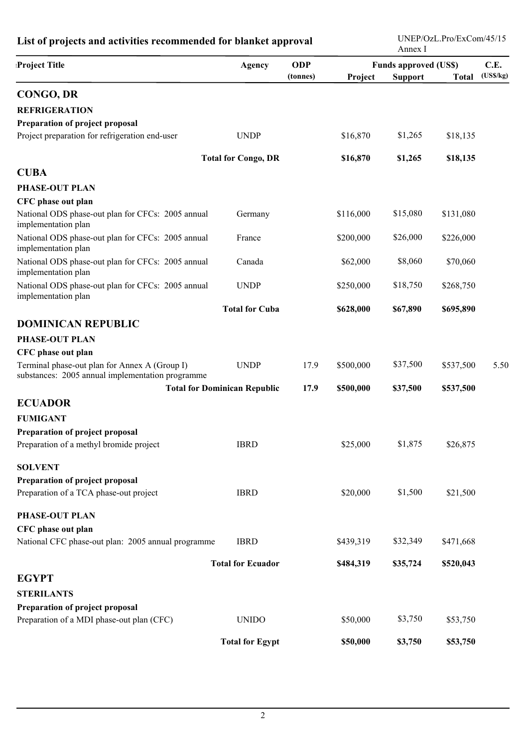| List of projects and activities recommended for blanket approval                                  |                                     |            | 121 / OZD.1 10/ DACOIII/ TV/ 12<br>Annex I |                |              |          |
|---------------------------------------------------------------------------------------------------|-------------------------------------|------------|--------------------------------------------|----------------|--------------|----------|
| <b>Project Title</b>                                                                              | <b>Agency</b>                       | <b>ODP</b> | <b>Funds approved (US\$)</b>               | C.E.           |              |          |
|                                                                                                   |                                     | (tonnes)   | Project                                    | <b>Support</b> | <b>Total</b> | (USS/kg) |
| <b>CONGO, DR</b>                                                                                  |                                     |            |                                            |                |              |          |
| <b>REFRIGERATION</b>                                                                              |                                     |            |                                            |                |              |          |
| Preparation of project proposal                                                                   |                                     |            |                                            |                |              |          |
| Project preparation for refrigeration end-user                                                    | <b>UNDP</b>                         |            | \$16,870                                   | \$1,265        | \$18,135     |          |
|                                                                                                   | <b>Total for Congo, DR</b>          |            | \$16,870                                   | \$1,265        | \$18,135     |          |
| <b>CUBA</b>                                                                                       |                                     |            |                                            |                |              |          |
| <b>PHASE-OUT PLAN</b>                                                                             |                                     |            |                                            |                |              |          |
| CFC phase out plan                                                                                |                                     |            |                                            |                |              |          |
| National ODS phase-out plan for CFCs: 2005 annual<br>implementation plan                          | Germany                             |            | \$116,000                                  | \$15,080       | \$131,080    |          |
| National ODS phase-out plan for CFCs: 2005 annual<br>implementation plan                          | France                              |            | \$200,000                                  | \$26,000       | \$226,000    |          |
| National ODS phase-out plan for CFCs: 2005 annual<br>implementation plan                          | Canada                              |            | \$62,000                                   | \$8,060        | \$70,060     |          |
| National ODS phase-out plan for CFCs: 2005 annual<br>implementation plan                          | <b>UNDP</b>                         |            | \$250,000                                  | \$18,750       | \$268,750    |          |
|                                                                                                   | <b>Total for Cuba</b>               |            | \$628,000                                  | \$67,890       | \$695,890    |          |
| <b>DOMINICAN REPUBLIC</b>                                                                         |                                     |            |                                            |                |              |          |
| PHASE-OUT PLAN                                                                                    |                                     |            |                                            |                |              |          |
| CFC phase out plan                                                                                |                                     |            |                                            |                |              |          |
| Terminal phase-out plan for Annex A (Group I)<br>substances: 2005 annual implementation programme | <b>UNDP</b>                         | 17.9       | \$500,000                                  | \$37,500       | \$537,500    | 5.50     |
|                                                                                                   | <b>Total for Dominican Republic</b> | 17.9       | \$500,000                                  | \$37,500       | \$537,500    |          |
| <b>ECUADOR</b>                                                                                    |                                     |            |                                            |                |              |          |
| <b>FUMIGANT</b>                                                                                   |                                     |            |                                            |                |              |          |
| Preparation of project proposal                                                                   |                                     |            |                                            |                |              |          |
| Preparation of a methyl bromide project                                                           | <b>IBRD</b>                         |            | \$25,000                                   | \$1,875        | \$26,875     |          |
| <b>SOLVENT</b>                                                                                    |                                     |            |                                            |                |              |          |
| Preparation of project proposal                                                                   |                                     |            |                                            |                |              |          |
| Preparation of a TCA phase-out project                                                            | <b>IBRD</b>                         |            | \$20,000                                   | \$1,500        | \$21,500     |          |
| <b>PHASE-OUT PLAN</b>                                                                             |                                     |            |                                            |                |              |          |
| CFC phase out plan                                                                                |                                     |            |                                            |                |              |          |
| National CFC phase-out plan: 2005 annual programme                                                | <b>IBRD</b>                         |            | \$439,319                                  | \$32,349       | \$471,668    |          |
|                                                                                                   | <b>Total for Ecuador</b>            |            | \$484,319                                  | \$35,724       | \$520,043    |          |
| <b>EGYPT</b>                                                                                      |                                     |            |                                            |                |              |          |
| <b>STERILANTS</b>                                                                                 |                                     |            |                                            |                |              |          |
| Preparation of project proposal                                                                   |                                     |            |                                            |                |              |          |
| Preparation of a MDI phase-out plan (CFC)                                                         | <b>UNIDO</b>                        |            | \$50,000                                   | \$3,750        | \$53,750     |          |
|                                                                                                   | <b>Total for Egypt</b>              |            | \$50,000                                   | \$3,750        | \$53,750     |          |

### **List of projects and activities recommended for blanket approval**

UNEP/OzL.Pro/ExCom/45/15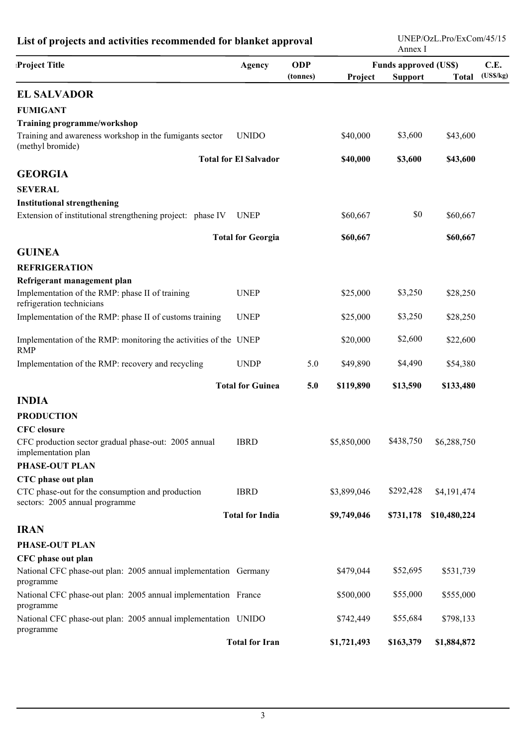| List of projects and activities recommended for blanket approval                   |                              |            |             | UNEP/OzL.Pro/ExCom/45/15<br>Annex I |              |          |  |  |
|------------------------------------------------------------------------------------|------------------------------|------------|-------------|-------------------------------------|--------------|----------|--|--|
| <b>Project Title</b>                                                               | Agency                       | <b>ODP</b> |             | <b>Funds approved (US\$)</b>        |              |          |  |  |
|                                                                                    |                              | (tonnes)   | Project     | <b>Support</b>                      | <b>Total</b> | (USS/kg) |  |  |
| <b>EL SALVADOR</b>                                                                 |                              |            |             |                                     |              |          |  |  |
| <b>FUMIGANT</b>                                                                    |                              |            |             |                                     |              |          |  |  |
| <b>Training programme/workshop</b>                                                 |                              |            |             |                                     |              |          |  |  |
| Training and awareness workshop in the fumigants sector<br>(methyl bromide)        | <b>UNIDO</b>                 |            | \$40,000    | \$3,600                             | \$43,600     |          |  |  |
|                                                                                    | <b>Total for El Salvador</b> |            | \$40,000    | \$3,600                             | \$43,600     |          |  |  |
| <b>GEORGIA</b>                                                                     |                              |            |             |                                     |              |          |  |  |
| <b>SEVERAL</b>                                                                     |                              |            |             |                                     |              |          |  |  |
| <b>Institutional strengthening</b>                                                 |                              |            |             |                                     |              |          |  |  |
| Extension of institutional strengthening project: phase IV                         | <b>UNEP</b>                  |            | \$60,667    | \$0                                 | \$60,667     |          |  |  |
|                                                                                    | <b>Total for Georgia</b>     |            | \$60,667    |                                     | \$60,667     |          |  |  |
| <b>GUINEA</b>                                                                      |                              |            |             |                                     |              |          |  |  |
| <b>REFRIGERATION</b>                                                               |                              |            |             |                                     |              |          |  |  |
| Refrigerant management plan                                                        |                              |            |             |                                     |              |          |  |  |
| Implementation of the RMP: phase II of training<br>refrigeration technicians       | <b>UNEP</b>                  |            | \$25,000    | \$3,250                             | \$28,250     |          |  |  |
| Implementation of the RMP: phase II of customs training                            | <b>UNEP</b>                  |            | \$25,000    | \$3,250                             | \$28,250     |          |  |  |
| Implementation of the RMP: monitoring the activities of the UNEP<br><b>RMP</b>     |                              |            | \$20,000    | \$2,600                             | \$22,600     |          |  |  |
| Implementation of the RMP: recovery and recycling                                  | <b>UNDP</b>                  | 5.0        | \$49,890    | \$4,490                             | \$54,380     |          |  |  |
|                                                                                    | <b>Total for Guinea</b>      | 5.0        | \$119,890   | \$13,590                            | \$133,480    |          |  |  |
| <b>INDIA</b>                                                                       |                              |            |             |                                     |              |          |  |  |
| <b>PRODUCTION</b>                                                                  |                              |            |             |                                     |              |          |  |  |
| CFC closure                                                                        |                              |            |             |                                     |              |          |  |  |
| CFC production sector gradual phase-out: 2005 annual<br>implementation plan        | <b>IBRD</b>                  |            | \$5,850,000 | \$438,750                           | \$6,288,750  |          |  |  |
| PHASE-OUT PLAN                                                                     |                              |            |             |                                     |              |          |  |  |
| CTC phase out plan                                                                 |                              |            |             |                                     |              |          |  |  |
| CTC phase-out for the consumption and production<br>sectors: 2005 annual programme | <b>IBRD</b>                  |            | \$3,899,046 | \$292,428                           | \$4,191,474  |          |  |  |
|                                                                                    | <b>Total for India</b>       |            | \$9,749,046 | \$731,178                           | \$10,480,224 |          |  |  |
| <b>IRAN</b>                                                                        |                              |            |             |                                     |              |          |  |  |
| PHASE-OUT PLAN                                                                     |                              |            |             |                                     |              |          |  |  |
| CFC phase out plan                                                                 |                              |            |             |                                     |              |          |  |  |
| National CFC phase-out plan: 2005 annual implementation Germany<br>programme       |                              |            | \$479,044   | \$52,695                            | \$531,739    |          |  |  |
| National CFC phase-out plan: 2005 annual implementation France<br>programme        |                              |            | \$500,000   | \$55,000                            | \$555,000    |          |  |  |
| National CFC phase-out plan: 2005 annual implementation UNIDO<br>programme         |                              |            | \$742,449   | \$55,684                            | \$798,133    |          |  |  |
|                                                                                    | <b>Total for Iran</b>        |            | \$1,721,493 | \$163,379                           | \$1,884,872  |          |  |  |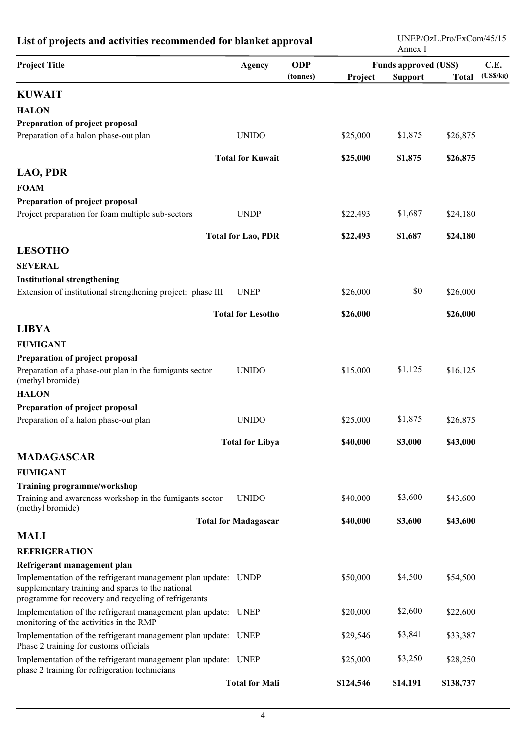| List of projects and activities recommended for blanket approval                                                                                                            |                             |            | UNEP/OzL.Pro/ExCom/45/15<br>Annex I |                |              |          |  |
|-----------------------------------------------------------------------------------------------------------------------------------------------------------------------------|-----------------------------|------------|-------------------------------------|----------------|--------------|----------|--|
| <b>Project Title</b>                                                                                                                                                        | Agency                      | <b>ODP</b> | <b>Funds approved (US\$)</b>        |                |              | C.E.     |  |
|                                                                                                                                                                             |                             | (tonnes)   | Project                             | <b>Support</b> | <b>Total</b> | (USS/kg) |  |
| <b>KUWAIT</b>                                                                                                                                                               |                             |            |                                     |                |              |          |  |
| <b>HALON</b>                                                                                                                                                                |                             |            |                                     |                |              |          |  |
| Preparation of project proposal                                                                                                                                             |                             |            |                                     |                |              |          |  |
| Preparation of a halon phase-out plan                                                                                                                                       | <b>UNIDO</b>                |            | \$25,000                            | \$1,875        | \$26,875     |          |  |
|                                                                                                                                                                             | <b>Total for Kuwait</b>     |            | \$25,000                            | \$1,875        | \$26,875     |          |  |
| <b>LAO, PDR</b>                                                                                                                                                             |                             |            |                                     |                |              |          |  |
| <b>FOAM</b>                                                                                                                                                                 |                             |            |                                     |                |              |          |  |
| Preparation of project proposal                                                                                                                                             |                             |            |                                     |                |              |          |  |
| Project preparation for foam multiple sub-sectors                                                                                                                           | <b>UNDP</b>                 |            | \$22,493                            | \$1,687        | \$24,180     |          |  |
|                                                                                                                                                                             |                             |            |                                     |                |              |          |  |
|                                                                                                                                                                             | <b>Total for Lao, PDR</b>   |            | \$22,493                            | \$1,687        | \$24,180     |          |  |
| <b>LESOTHO</b>                                                                                                                                                              |                             |            |                                     |                |              |          |  |
| <b>SEVERAL</b>                                                                                                                                                              |                             |            |                                     |                |              |          |  |
| <b>Institutional strengthening</b><br>Extension of institutional strengthening project: phase III                                                                           | <b>UNEP</b>                 |            | \$26,000                            | \$0            | \$26,000     |          |  |
|                                                                                                                                                                             |                             |            |                                     |                |              |          |  |
|                                                                                                                                                                             | <b>Total for Lesotho</b>    |            | \$26,000                            |                | \$26,000     |          |  |
| <b>LIBYA</b>                                                                                                                                                                |                             |            |                                     |                |              |          |  |
| <b>FUMIGANT</b>                                                                                                                                                             |                             |            |                                     |                |              |          |  |
| Preparation of project proposal                                                                                                                                             |                             |            |                                     |                |              |          |  |
| Preparation of a phase-out plan in the fumigants sector<br>(methyl bromide)                                                                                                 | <b>UNIDO</b>                |            | \$15,000                            | \$1,125        | \$16,125     |          |  |
| <b>HALON</b>                                                                                                                                                                |                             |            |                                     |                |              |          |  |
| Preparation of project proposal                                                                                                                                             |                             |            |                                     |                |              |          |  |
| Preparation of a halon phase-out plan                                                                                                                                       | <b>UNIDO</b>                |            | \$25,000                            | \$1,875        | \$26,875     |          |  |
|                                                                                                                                                                             | <b>Total for Libya</b>      |            | \$40,000                            | \$3,000        | \$43,000     |          |  |
| <b>MADAGASCAR</b>                                                                                                                                                           |                             |            |                                     |                |              |          |  |
| <b>FUMIGANT</b>                                                                                                                                                             |                             |            |                                     |                |              |          |  |
| <b>Training programme/workshop</b>                                                                                                                                          |                             |            |                                     |                |              |          |  |
| Training and awareness workshop in the fumigants sector<br>(methyl bromide)                                                                                                 | <b>UNIDO</b>                |            | \$40,000                            | \$3,600        | \$43,600     |          |  |
|                                                                                                                                                                             | <b>Total for Madagascar</b> |            | \$40,000                            | \$3,600        | \$43,600     |          |  |
| <b>MALI</b>                                                                                                                                                                 |                             |            |                                     |                |              |          |  |
| <b>REFRIGERATION</b>                                                                                                                                                        |                             |            |                                     |                |              |          |  |
| Refrigerant management plan                                                                                                                                                 |                             |            |                                     |                |              |          |  |
| Implementation of the refrigerant management plan update: UNDP<br>supplementary training and spares to the national<br>programme for recovery and recycling of refrigerants |                             |            | \$50,000                            | \$4,500        | \$54,500     |          |  |
| Implementation of the refrigerant management plan update: UNEP<br>monitoring of the activities in the RMP                                                                   |                             |            | \$20,000                            | \$2,600        | \$22,600     |          |  |
| Implementation of the refrigerant management plan update: UNEP<br>Phase 2 training for customs officials                                                                    |                             |            | \$29,546                            | \$3,841        | \$33,387     |          |  |
| Implementation of the refrigerant management plan update: UNEP<br>phase 2 training for refrigeration technicians                                                            |                             |            | \$25,000                            | \$3,250        | \$28,250     |          |  |
|                                                                                                                                                                             | <b>Total for Mali</b>       |            | \$124,546                           | \$14,191       | \$138,737    |          |  |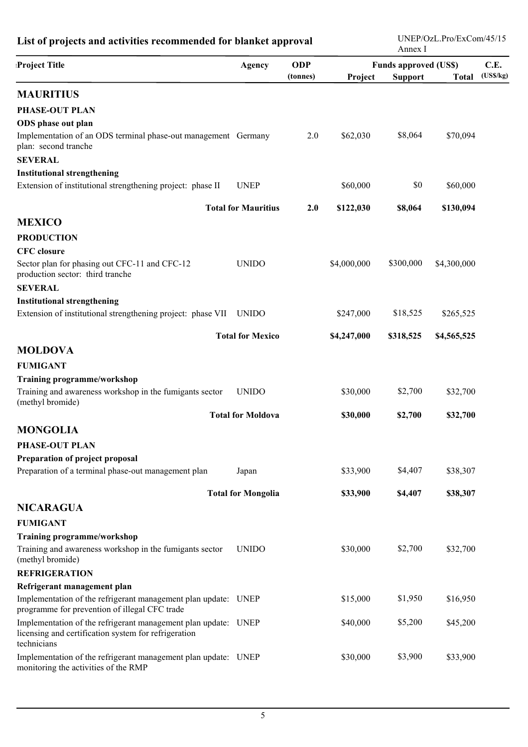## **List of projects and activities recommended for blanket approval**

UNEP/OzL.Pro/ExCom/45/15 Annex I

| <b>Project Title</b>                                                                                                                  | <b>Agency</b>              | <b>ODP</b> | <b>Funds approved (US\$)</b> |                |              | C.E.     |
|---------------------------------------------------------------------------------------------------------------------------------------|----------------------------|------------|------------------------------|----------------|--------------|----------|
|                                                                                                                                       |                            | (tonnes)   | Project                      | <b>Support</b> | <b>Total</b> | (USS/kg) |
| <b>MAURITIUS</b>                                                                                                                      |                            |            |                              |                |              |          |
| <b>PHASE-OUT PLAN</b>                                                                                                                 |                            |            |                              |                |              |          |
| ODS phase out plan                                                                                                                    |                            |            |                              |                |              |          |
| Implementation of an ODS terminal phase-out management Germany<br>plan: second tranche                                                |                            | 2.0        | \$62,030                     | \$8,064        | \$70,094     |          |
| <b>SEVERAL</b>                                                                                                                        |                            |            |                              |                |              |          |
| <b>Institutional strengthening</b>                                                                                                    |                            |            |                              |                |              |          |
| Extension of institutional strengthening project: phase II                                                                            | <b>UNEP</b>                |            | \$60,000                     | \$0            | \$60,000     |          |
|                                                                                                                                       | <b>Total for Mauritius</b> | 2.0        | \$122,030                    | \$8,064        | \$130,094    |          |
| <b>MEXICO</b>                                                                                                                         |                            |            |                              |                |              |          |
| <b>PRODUCTION</b>                                                                                                                     |                            |            |                              |                |              |          |
| <b>CFC</b> closure                                                                                                                    |                            |            |                              |                |              |          |
| Sector plan for phasing out CFC-11 and CFC-12<br>production sector: third tranche                                                     | <b>UNIDO</b>               |            | \$4,000,000                  | \$300,000      | \$4,300,000  |          |
| <b>SEVERAL</b>                                                                                                                        |                            |            |                              |                |              |          |
| <b>Institutional strengthening</b>                                                                                                    |                            |            |                              |                |              |          |
| Extension of institutional strengthening project: phase VII UNIDO                                                                     |                            |            | \$247,000                    | \$18,525       | \$265,525    |          |
|                                                                                                                                       | <b>Total for Mexico</b>    |            | \$4,247,000                  | \$318,525      | \$4,565,525  |          |
| <b>MOLDOVA</b>                                                                                                                        |                            |            |                              |                |              |          |
| <b>FUMIGANT</b>                                                                                                                       |                            |            |                              |                |              |          |
| <b>Training programme/workshop</b>                                                                                                    |                            |            |                              |                |              |          |
| Training and awareness workshop in the fumigants sector<br>(methyl bromide)                                                           | <b>UNIDO</b>               |            | \$30,000                     | \$2,700        | \$32,700     |          |
|                                                                                                                                       | <b>Total for Moldova</b>   |            | \$30,000                     | \$2,700        | \$32,700     |          |
| <b>MONGOLIA</b>                                                                                                                       |                            |            |                              |                |              |          |
| <b>PHASE-OUT PLAN</b>                                                                                                                 |                            |            |                              |                |              |          |
| Preparation of project proposal                                                                                                       |                            |            |                              |                |              |          |
| Preparation of a terminal phase-out management plan                                                                                   | Japan                      |            | \$33,900                     | \$4,407        | \$38,307     |          |
|                                                                                                                                       | <b>Total for Mongolia</b>  |            | \$33,900                     | \$4,407        | \$38,307     |          |
| <b>NICARAGUA</b>                                                                                                                      |                            |            |                              |                |              |          |
| <b>FUMIGANT</b>                                                                                                                       |                            |            |                              |                |              |          |
| <b>Training programme/workshop</b>                                                                                                    |                            |            |                              |                |              |          |
| Training and awareness workshop in the fumigants sector<br>(methyl bromide)                                                           | <b>UNIDO</b>               |            | \$30,000                     | \$2,700        | \$32,700     |          |
| <b>REFRIGERATION</b>                                                                                                                  |                            |            |                              |                |              |          |
| Refrigerant management plan                                                                                                           |                            |            |                              |                |              |          |
| Implementation of the refrigerant management plan update: UNEP<br>programme for prevention of illegal CFC trade                       |                            |            | \$15,000                     | \$1,950        | \$16,950     |          |
| Implementation of the refrigerant management plan update: UNEP<br>licensing and certification system for refrigeration<br>technicians |                            |            | \$40,000                     | \$5,200        | \$45,200     |          |
| Implementation of the refrigerant management plan update: UNEP<br>monitoring the activities of the RMP                                |                            |            | \$30,000                     | \$3,900        | \$33,900     |          |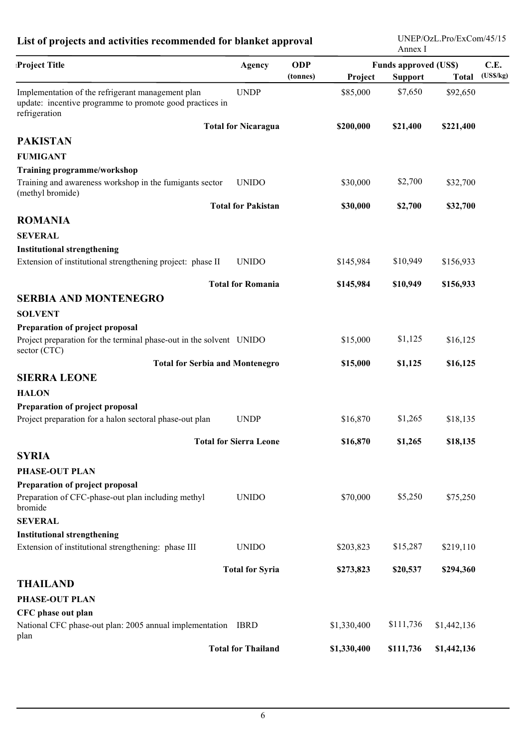## **List of projects and activities recommended for blanket approval**

UNEP/OzL.Pro/ExCom/45/15 Annex I

| <b>Project Title</b>                                                                                                           | <b>Agency</b>                 | <b>ODP</b> | <b>Funds approved (US\$)</b> |                                |             |          |
|--------------------------------------------------------------------------------------------------------------------------------|-------------------------------|------------|------------------------------|--------------------------------|-------------|----------|
|                                                                                                                                |                               | (tonnes)   | Project                      | <b>Support</b><br><b>Total</b> |             | (USS/kg) |
| Implementation of the refrigerant management plan<br>update: incentive programme to promote good practices in<br>refrigeration | <b>UNDP</b>                   |            | \$85,000                     | \$7,650                        | \$92,650    |          |
|                                                                                                                                | <b>Total for Nicaragua</b>    |            | \$200,000                    | \$21,400                       | \$221,400   |          |
| <b>PAKISTAN</b>                                                                                                                |                               |            |                              |                                |             |          |
| <b>FUMIGANT</b>                                                                                                                |                               |            |                              |                                |             |          |
| Training programme/workshop                                                                                                    |                               |            |                              |                                |             |          |
| Training and awareness workshop in the fumigants sector<br>(methyl bromide)                                                    | <b>UNIDO</b>                  |            | \$30,000                     | \$2,700                        | \$32,700    |          |
|                                                                                                                                | <b>Total for Pakistan</b>     |            | \$30,000                     | \$2,700                        | \$32,700    |          |
| <b>ROMANIA</b>                                                                                                                 |                               |            |                              |                                |             |          |
| <b>SEVERAL</b>                                                                                                                 |                               |            |                              |                                |             |          |
| <b>Institutional strengthening</b>                                                                                             |                               |            |                              |                                |             |          |
| Extension of institutional strengthening project: phase II                                                                     | <b>UNIDO</b>                  |            | \$145,984                    | \$10,949                       | \$156,933   |          |
|                                                                                                                                | <b>Total for Romania</b>      |            | \$145,984                    | \$10,949                       | \$156,933   |          |
| <b>SERBIA AND MONTENEGRO</b>                                                                                                   |                               |            |                              |                                |             |          |
| <b>SOLVENT</b>                                                                                                                 |                               |            |                              |                                |             |          |
| Preparation of project proposal                                                                                                |                               |            |                              |                                |             |          |
| Project preparation for the terminal phase-out in the solvent UNIDO<br>sector (CTC)                                            |                               |            | \$15,000                     | \$1,125                        | \$16,125    |          |
| <b>Total for Serbia and Montenegro</b>                                                                                         |                               |            | \$15,000                     | \$1,125                        | \$16,125    |          |
| <b>SIERRA LEONE</b>                                                                                                            |                               |            |                              |                                |             |          |
| <b>HALON</b>                                                                                                                   |                               |            |                              |                                |             |          |
| Preparation of project proposal                                                                                                |                               |            |                              |                                |             |          |
| Project preparation for a halon sectoral phase-out plan                                                                        | <b>UNDP</b>                   |            | \$16,870                     | \$1,265                        | \$18,135    |          |
|                                                                                                                                | <b>Total for Sierra Leone</b> |            | \$16,870                     | \$1,265                        | \$18,135    |          |
| <b>SYRIA</b>                                                                                                                   |                               |            |                              |                                |             |          |
| PHASE-OUT PLAN                                                                                                                 |                               |            |                              |                                |             |          |
| Preparation of project proposal                                                                                                |                               |            |                              |                                |             |          |
| Preparation of CFC-phase-out plan including methyl<br>bromide                                                                  | <b>UNIDO</b>                  |            | \$70,000                     | \$5,250                        | \$75,250    |          |
| <b>SEVERAL</b>                                                                                                                 |                               |            |                              |                                |             |          |
| <b>Institutional strengthening</b>                                                                                             |                               |            |                              |                                |             |          |
| Extension of institutional strengthening: phase III                                                                            | <b>UNIDO</b>                  |            | \$203,823                    | \$15,287                       | \$219,110   |          |
|                                                                                                                                | <b>Total for Syria</b>        |            | \$273,823                    | \$20,537                       | \$294,360   |          |
| <b>THAILAND</b>                                                                                                                |                               |            |                              |                                |             |          |
| PHASE-OUT PLAN                                                                                                                 |                               |            |                              |                                |             |          |
| CFC phase out plan                                                                                                             |                               |            |                              |                                |             |          |
| National CFC phase-out plan: 2005 annual implementation IBRD<br>plan                                                           |                               |            | \$1,330,400                  | \$111,736                      | \$1,442,136 |          |
|                                                                                                                                | <b>Total for Thailand</b>     |            | \$1,330,400                  | \$111,736                      | \$1,442,136 |          |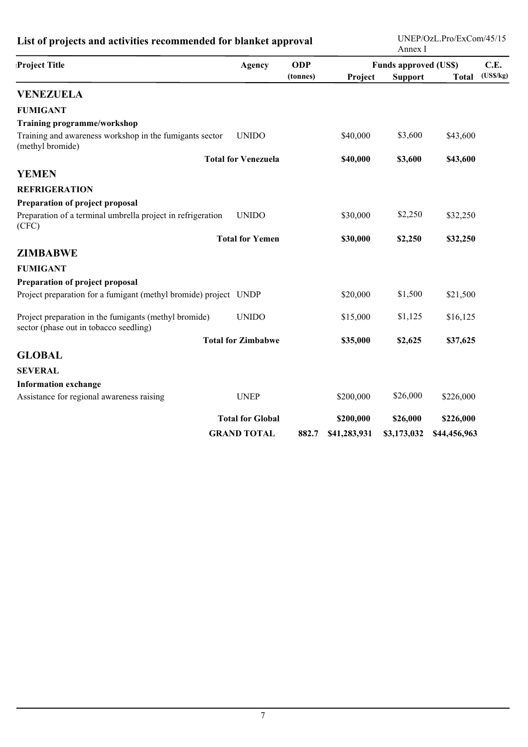| List of projects and activities recommended for blanket approval                                |                            |            |              | UNEP/OzL.Pro/ExCom/45/15<br>Annex I |              |          |  |
|-------------------------------------------------------------------------------------------------|----------------------------|------------|--------------|-------------------------------------|--------------|----------|--|
| <b>Project Title</b>                                                                            | Agency                     | <b>ODP</b> |              | <b>Funds approved (US\$)</b>        |              | C.E.     |  |
|                                                                                                 |                            | (tonnes)   | Project      | <b>Support</b>                      | <b>Total</b> | (USS/kg) |  |
| <b>VENEZUELA</b>                                                                                |                            |            |              |                                     |              |          |  |
| <b>FUMIGANT</b>                                                                                 |                            |            |              |                                     |              |          |  |
| <b>Training programme/workshop</b>                                                              |                            |            |              |                                     |              |          |  |
| Training and awareness workshop in the fumigants sector<br>(methyl bromide)                     | <b>UNIDO</b>               |            | \$40,000     | \$3,600                             | \$43,600     |          |  |
|                                                                                                 | <b>Total for Venezuela</b> |            | \$40,000     | \$3,600                             | \$43,600     |          |  |
| <b>YEMEN</b>                                                                                    |                            |            |              |                                     |              |          |  |
| <b>REFRIGERATION</b>                                                                            |                            |            |              |                                     |              |          |  |
| Preparation of project proposal                                                                 |                            |            |              |                                     |              |          |  |
| Preparation of a terminal umbrella project in refrigeration<br>(CFC)                            | <b>UNIDO</b>               |            | \$30,000     | \$2,250                             | \$32,250     |          |  |
|                                                                                                 | <b>Total for Yemen</b>     |            | \$30,000     | \$2,250                             | \$32,250     |          |  |
| <b>ZIMBABWE</b>                                                                                 |                            |            |              |                                     |              |          |  |
| <b>FUMIGANT</b>                                                                                 |                            |            |              |                                     |              |          |  |
| Preparation of project proposal                                                                 |                            |            |              |                                     |              |          |  |
| Project preparation for a fumigant (methyl bromide) project UNDP                                |                            |            | \$20,000     | \$1,500                             | \$21,500     |          |  |
| Project preparation in the fumigants (methyl bromide)<br>sector (phase out in tobacco seedling) | <b>UNIDO</b>               |            | \$15,000     | \$1,125                             | \$16,125     |          |  |
|                                                                                                 | <b>Total for Zimbabwe</b>  |            | \$35,000     | \$2,625                             | \$37,625     |          |  |
| <b>GLOBAL</b>                                                                                   |                            |            |              |                                     |              |          |  |
| <b>SEVERAL</b>                                                                                  |                            |            |              |                                     |              |          |  |
| <b>Information exchange</b>                                                                     |                            |            |              |                                     |              |          |  |
| Assistance for regional awareness raising                                                       | <b>UNEP</b>                |            | \$200,000    | \$26,000                            | \$226,000    |          |  |
|                                                                                                 | <b>Total for Global</b>    |            | \$200,000    | \$26,000                            | \$226,000    |          |  |
|                                                                                                 | <b>GRAND TOTAL</b>         | 882.7      | \$41,283,931 | \$3,173,032                         | \$44,456,963 |          |  |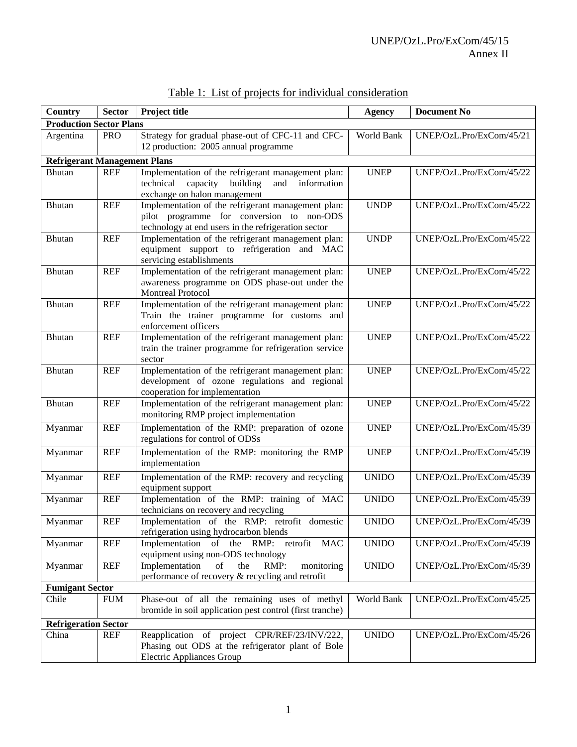| Country                              | <b>Sector</b> | Project title                                                                          | <b>Agency</b> | <b>Document No</b>       |
|--------------------------------------|---------------|----------------------------------------------------------------------------------------|---------------|--------------------------|
| <b>Production Sector Plans</b>       |               |                                                                                        |               |                          |
| Argentina                            | <b>PRO</b>    | Strategy for gradual phase-out of CFC-11 and CFC-                                      | World Bank    | UNEP/OzL.Pro/ExCom/45/21 |
|                                      |               | 12 production: 2005 annual programme                                                   |               |                          |
| <b>Refrigerant Management Plans</b>  |               |                                                                                        |               |                          |
| <b>Bhutan</b>                        | <b>REF</b>    | Implementation of the refrigerant management plan:                                     | <b>UNEP</b>   | UNEP/OzL.Pro/ExCom/45/22 |
|                                      |               | capacity building<br>and<br>technical<br>information                                   |               |                          |
|                                      |               | exchange on halon management                                                           |               |                          |
| Bhutan                               | <b>REF</b>    | Implementation of the refrigerant management plan:                                     | <b>UNDP</b>   | UNEP/OzL.Pro/ExCom/45/22 |
|                                      |               | pilot programme for conversion to non-ODS                                              |               |                          |
|                                      |               | technology at end users in the refrigeration sector                                    |               |                          |
| Bhutan                               | <b>REF</b>    | Implementation of the refrigerant management plan:                                     | <b>UNDP</b>   | UNEP/OzL.Pro/ExCom/45/22 |
|                                      |               | equipment support to refrigeration and MAC                                             |               |                          |
|                                      |               | servicing establishments                                                               |               |                          |
| Bhutan                               | <b>REF</b>    | Implementation of the refrigerant management plan:                                     | <b>UNEP</b>   | UNEP/OzL.Pro/ExCom/45/22 |
|                                      |               | awareness programme on ODS phase-out under the                                         |               |                          |
|                                      |               | <b>Montreal Protocol</b>                                                               |               |                          |
| <b>Bhutan</b>                        | <b>REF</b>    | Implementation of the refrigerant management plan:                                     | <b>UNEP</b>   | UNEP/OzL.Pro/ExCom/45/22 |
|                                      |               | Train the trainer programme for customs and                                            |               |                          |
|                                      |               | enforcement officers                                                                   |               |                          |
| Bhutan                               | <b>REF</b>    | Implementation of the refrigerant management plan:                                     | <b>UNEP</b>   | UNEP/OzL.Pro/ExCom/45/22 |
|                                      |               | train the trainer programme for refrigeration service                                  |               |                          |
|                                      |               | sector                                                                                 |               |                          |
| Bhutan                               | <b>REF</b>    | Implementation of the refrigerant management plan:                                     | <b>UNEP</b>   | UNEP/OzL.Pro/ExCom/45/22 |
|                                      |               | development of ozone regulations and regional<br>cooperation for implementation        |               |                          |
| Bhutan                               | <b>REF</b>    | Implementation of the refrigerant management plan:                                     | <b>UNEP</b>   | UNEP/OzL.Pro/ExCom/45/22 |
|                                      |               | monitoring RMP project implementation                                                  |               |                          |
|                                      | <b>REF</b>    | Implementation of the RMP: preparation of ozone                                        | <b>UNEP</b>   | UNEP/OzL.Pro/ExCom/45/39 |
| Myanmar                              |               | regulations for control of ODSs                                                        |               |                          |
|                                      |               |                                                                                        |               |                          |
| Myanmar                              | <b>REF</b>    | Implementation of the RMP: monitoring the RMP                                          | <b>UNEP</b>   | UNEP/OzL.Pro/ExCom/45/39 |
|                                      |               | implementation                                                                         |               |                          |
| Myanmar                              | <b>REF</b>    | Implementation of the RMP: recovery and recycling                                      | <b>UNIDO</b>  | UNEP/OzL.Pro/ExCom/45/39 |
|                                      |               | equipment support                                                                      |               |                          |
| Myanmar                              | <b>REF</b>    | Implementation of the RMP: training of MAC                                             | <b>UNIDO</b>  | UNEP/OzL.Pro/ExCom/45/39 |
|                                      |               | technicians on recovery and recycling                                                  |               |                          |
| Myanmar                              | <b>REF</b>    | Implementation of the RMP: retrofit domestic                                           | <b>UNIDO</b>  | UNEP/OzL.Pro/ExCom/45/39 |
|                                      |               | refrigeration using hydrocarbon blends                                                 |               |                          |
| Myanmar                              | <b>REF</b>    | Implementation<br>of the<br>RMP:<br>retrofit MAC<br>equipment using non-ODS technology | <b>UNIDO</b>  | UNEP/OzL.Pro/ExCom/45/39 |
| Myanmar                              | <b>REF</b>    | Implementation<br>of<br>RMP:<br>the<br>monitoring                                      | <b>UNIDO</b>  | UNEP/OzL.Pro/ExCom/45/39 |
|                                      |               | performance of recovery $\&$ recycling and retrofit                                    |               |                          |
| <b>Fumigant Sector</b>               |               |                                                                                        |               |                          |
| Chile                                | <b>FUM</b>    | Phase-out of all the remaining uses of methyl                                          | World Bank    | UNEP/OzL.Pro/ExCom/45/25 |
|                                      |               | bromide in soil application pest control (first tranche)                               |               |                          |
|                                      |               |                                                                                        |               |                          |
| <b>Refrigeration Sector</b><br>China | <b>REF</b>    | Reapplication of project CPR/REF/23/INV/222,                                           | <b>UNIDO</b>  | UNEP/OzL.Pro/ExCom/45/26 |
|                                      |               | Phasing out ODS at the refrigerator plant of Bole                                      |               |                          |
|                                      |               | <b>Electric Appliances Group</b>                                                       |               |                          |
|                                      |               |                                                                                        |               |                          |

Table 1: List of projects for individual consideration